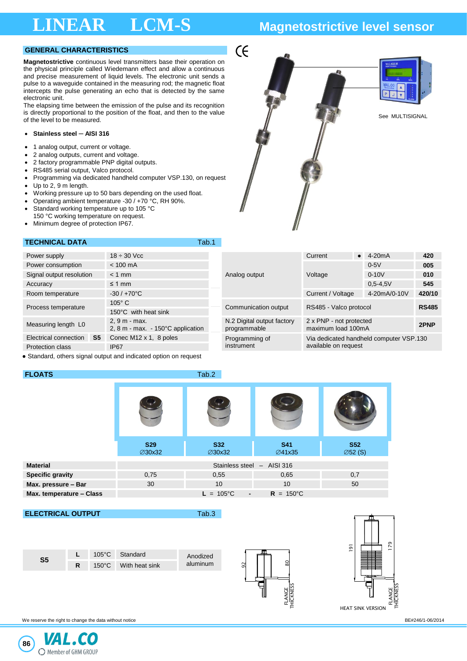# **LINEAR LCM-S Magnetostrictive level sensor**

## **GENERAL CHARACTERISTICS**

**Magnetostrictive** continuous level transmitters base their operation on the physical principle called Wiedemann effect and allow a continuous and precise measurement of liquid levels. The electronic unit sends a pulse to a waveguide contained in the measuring rod; the magnetic float intercepts the pulse generating an echo that is detected by the same electronic unit.

The elapsing time between the emission of the pulse and its recognition is directly proportional to the position of the float, and then to the value of the level to be measured.<br>The level to be measured.

### • **Stainless steel ─ AISI 316**

- 1 analog output, current or voltage.
- 2 analog outputs, current and voltage.
- 2 factory programmable PNP digital outputs.
- RS485 serial output, Valco protocol.
- Programming via dedicated handheld computer VSP.130, on request
- Up to 2, 9 m length.<br>• Working pressure up
- Working pressure up to 50 bars depending on the used float.<br>• Operating ambient temperature -30 / +70 °C. RH 90%.
- Operating ambient temperature -30 / +70 °C, RH 90%.
- Standard working temperature up to 105 °C 150 °C working temperature on request.
- Minimum degree of protection IP67.

## **TECHNICAL DATA TECHNICAL DATA**

| Power supply                                                     | $18 \div 30$ Vcc                                            |                                            | Current                                       | $\bullet$ 4-20 mA | 420    |  |  |  |  |
|------------------------------------------------------------------|-------------------------------------------------------------|--------------------------------------------|-----------------------------------------------|-------------------|--------|--|--|--|--|
| Power consumption                                                | $< 100$ mA                                                  |                                            |                                               | $0-5V$            | 005    |  |  |  |  |
| Signal output resolution                                         | $< 1$ mm                                                    | Analog output                              | Voltage                                       | $0 - 10V$         | 010    |  |  |  |  |
| Accuracy                                                         | $\leq 1$ mm                                                 |                                            |                                               | $0.5 - 4.5V$      | 545    |  |  |  |  |
| Room temperature                                                 | $-30/+70°C$                                                 |                                            | Current / Voltage                             | 4-20mA/0-10V      | 420/10 |  |  |  |  |
|                                                                  | $105^\circ$ C                                               | Communication output                       | RS485 - Valco protocol                        | <b>RS485</b>      |        |  |  |  |  |
| Process temperature                                              | 150°C with heat sink                                        |                                            |                                               |                   |        |  |  |  |  |
| Measuring length L0                                              | 2, 9 m - max.<br>2, 8 m - max. $-150^{\circ}$ C application | N.2 Digital output factory<br>programmable | 2 x PNP - not protected<br>maximum load 100mA |                   | 2PNP   |  |  |  |  |
| Electrical connection<br>S <sub>5</sub>                          | Conec M12 x 1, 8 poles                                      | Programming of                             | Via dedicated handheld computer VSP.130       |                   |        |  |  |  |  |
| <b>Protection class</b>                                          | <b>IP67</b>                                                 | instrument                                 | available on request                          |                   |        |  |  |  |  |
| • Standard, others signal output and indicated option on request |                                                             |                                            |                                               |                   |        |  |  |  |  |

 $\zeta$ 

**FLOATS** Tab.2

|                          | <b>S29</b><br>∅30x32 | <b>S32</b><br><b>⊘30x32</b>          | <b>S41</b><br><b>⊘41x35</b> | <b>S52</b><br>$\emptyset$ 52 (S) |
|--------------------------|----------------------|--------------------------------------|-----------------------------|----------------------------------|
| <b>Material</b>          |                      | Stainless steel - AISI 316           |                             |                                  |
| <b>Specific gravity</b>  | 0,75                 | 0,55                                 | 0,65                        | 0,7                              |
| Max. pressure - Bar      | 30                   | 10                                   | 10 <sup>°</sup>             | 50                               |
| Max. temperature - Class |                      | $L = 105^{\circ}C$<br>$\blacksquare$ | $R = 150^{\circ}C$          |                                  |

**ELECTRICAL OUTPUT Tab.3** 





We reserve the right to change the data without notice **BE 1246/1-06/2014** BE 246/1-06/2014